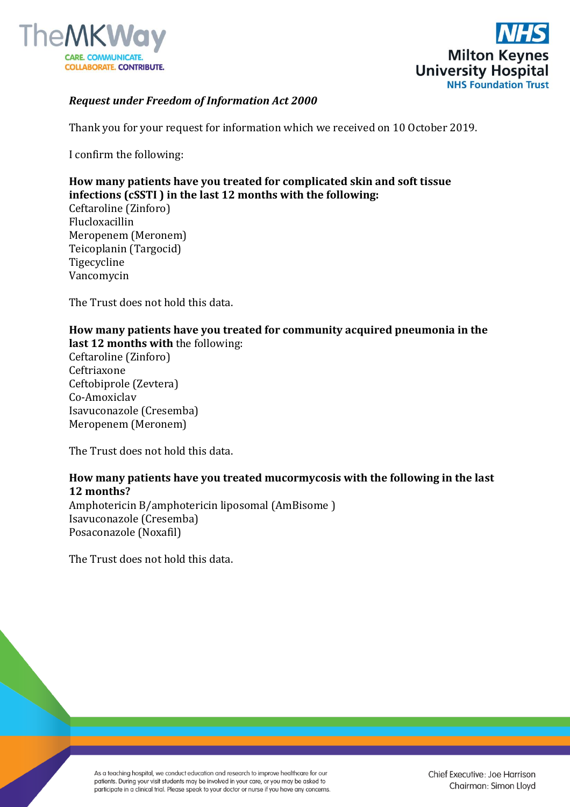



## *Request under Freedom of Information Act 2000*

Thank you for your request for information which we received on 10 October 2019.

I confirm the following:

# **How many patients have you treated for complicated skin and soft tissue infections (cSSTI ) in the last 12 months with the following:**

Ceftaroline (Zinforo) Flucloxacillin Meropenem (Meronem) Teicoplanin (Targocid) Tigecycline Vancomycin

The Trust does not hold this data.

#### **How many patients have you treated for community acquired pneumonia in the last 12 months with** the following:

Ceftaroline (Zinforo) Ceftriaxone Ceftobiprole (Zevtera) Co-Amoxiclav Isavuconazole (Cresemba) Meropenem (Meronem)

The Trust does not hold this data.

## **How many patients have you treated mucormycosis with the following in the last 12 months?**

Amphotericin B/amphotericin liposomal (AmBisome ) Isavuconazole (Cresemba) Posaconazole (Noxafil)

The Trust does not hold this data.

As a teaching hospital, we conduct education and research to improve healthcare for our patients. During your visit students may be involved in your care, or you may be asked to participate in a clinical trial. Please speak to your doctor or nurse if you have any concerns.